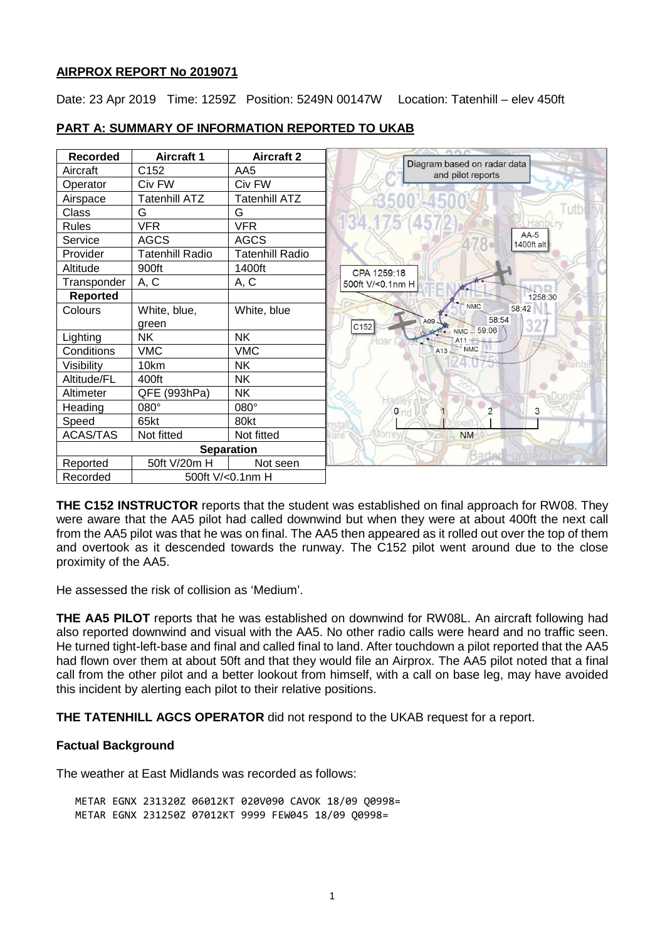## **AIRPROX REPORT No 2019071**

Date: 23 Apr 2019 Time: 1259Z Position: 5249N 00147W Location: Tatenhill – elev 450ft



# **PART A: SUMMARY OF INFORMATION REPORTED TO UKAB**

**THE C152 INSTRUCTOR** reports that the student was established on final approach for RW08. They were aware that the AA5 pilot had called downwind but when they were at about 400ft the next call from the AA5 pilot was that he was on final. The AA5 then appeared as it rolled out over the top of them and overtook as it descended towards the runway. The C152 pilot went around due to the close proximity of the AA5.

He assessed the risk of collision as 'Medium'.

**THE AA5 PILOT** reports that he was established on downwind for RW08L. An aircraft following had also reported downwind and visual with the AA5. No other radio calls were heard and no traffic seen. He turned tight-left-base and final and called final to land. After touchdown a pilot reported that the AA5 had flown over them at about 50ft and that they would file an Airprox. The AA5 pilot noted that a final call from the other pilot and a better lookout from himself, with a call on base leg, may have avoided this incident by alerting each pilot to their relative positions.

**THE TATENHILL AGCS OPERATOR** did not respond to the UKAB request for a report.

# **Factual Background**

The weather at East Midlands was recorded as follows:

METAR EGNX 231320Z 06012KT 020V090 CAVOK 18/09 Q0998= METAR EGNX 231250Z 07012KT 9999 FEW045 18/09 Q0998=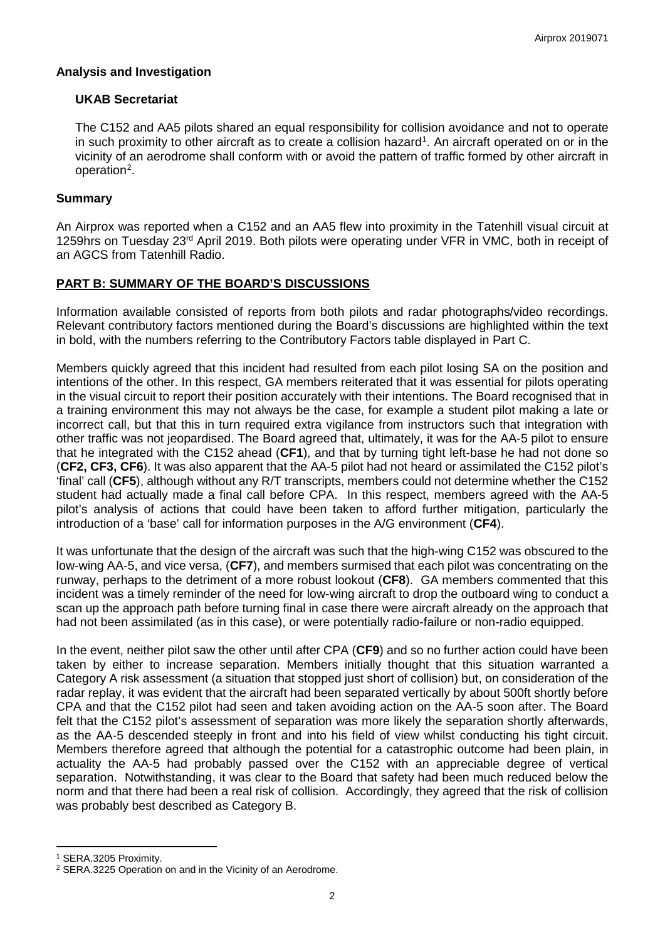## **Analysis and Investigation**

## **UKAB Secretariat**

The C152 and AA5 pilots shared an equal responsibility for collision avoidance and not to operate in such proximity to other aircraft as to create a collision hazard<sup>[1](#page-1-0)</sup>. An aircraft operated on or in the vicinity of an aerodrome shall conform with or avoid the pattern of traffic formed by other aircraft in operation<sup>[2](#page-1-1)</sup>.

## **Summary**

An Airprox was reported when a C152 and an AA5 flew into proximity in the Tatenhill visual circuit at 1259hrs on Tuesday 23rd April 2019. Both pilots were operating under VFR in VMC, both in receipt of an AGCS from Tatenhill Radio.

## **PART B: SUMMARY OF THE BOARD'S DISCUSSIONS**

Information available consisted of reports from both pilots and radar photographs/video recordings. Relevant contributory factors mentioned during the Board's discussions are highlighted within the text in bold, with the numbers referring to the Contributory Factors table displayed in Part C.

Members quickly agreed that this incident had resulted from each pilot losing SA on the position and intentions of the other. In this respect, GA members reiterated that it was essential for pilots operating in the visual circuit to report their position accurately with their intentions. The Board recognised that in a training environment this may not always be the case, for example a student pilot making a late or incorrect call, but that this in turn required extra vigilance from instructors such that integration with other traffic was not jeopardised. The Board agreed that, ultimately, it was for the AA-5 pilot to ensure that he integrated with the C152 ahead (**CF1**), and that by turning tight left-base he had not done so (**CF2, CF3, CF6**). It was also apparent that the AA-5 pilot had not heard or assimilated the C152 pilot's 'final' call (**CF5**), although without any R/T transcripts, members could not determine whether the C152 student had actually made a final call before CPA. In this respect, members agreed with the AA-5 pilot's analysis of actions that could have been taken to afford further mitigation, particularly the introduction of a 'base' call for information purposes in the A/G environment (**CF4**).

It was unfortunate that the design of the aircraft was such that the high-wing C152 was obscured to the low-wing AA-5, and vice versa, (**CF7**), and members surmised that each pilot was concentrating on the runway, perhaps to the detriment of a more robust lookout (**CF8**). GA members commented that this incident was a timely reminder of the need for low-wing aircraft to drop the outboard wing to conduct a scan up the approach path before turning final in case there were aircraft already on the approach that had not been assimilated (as in this case), or were potentially radio-failure or non-radio equipped.

In the event, neither pilot saw the other until after CPA (**CF9**) and so no further action could have been taken by either to increase separation. Members initially thought that this situation warranted a Category A risk assessment (a situation that stopped just short of collision) but, on consideration of the radar replay, it was evident that the aircraft had been separated vertically by about 500ft shortly before CPA and that the C152 pilot had seen and taken avoiding action on the AA-5 soon after. The Board felt that the C152 pilot's assessment of separation was more likely the separation shortly afterwards, as the AA-5 descended steeply in front and into his field of view whilst conducting his tight circuit. Members therefore agreed that although the potential for a catastrophic outcome had been plain, in actuality the AA-5 had probably passed over the C152 with an appreciable degree of vertical separation. Notwithstanding, it was clear to the Board that safety had been much reduced below the norm and that there had been a real risk of collision. Accordingly, they agreed that the risk of collision was probably best described as Category B.

l

<span id="page-1-0"></span><sup>1</sup> SERA.3205 Proximity.

<span id="page-1-1"></span><sup>2</sup> SERA.3225 Operation on and in the Vicinity of an Aerodrome.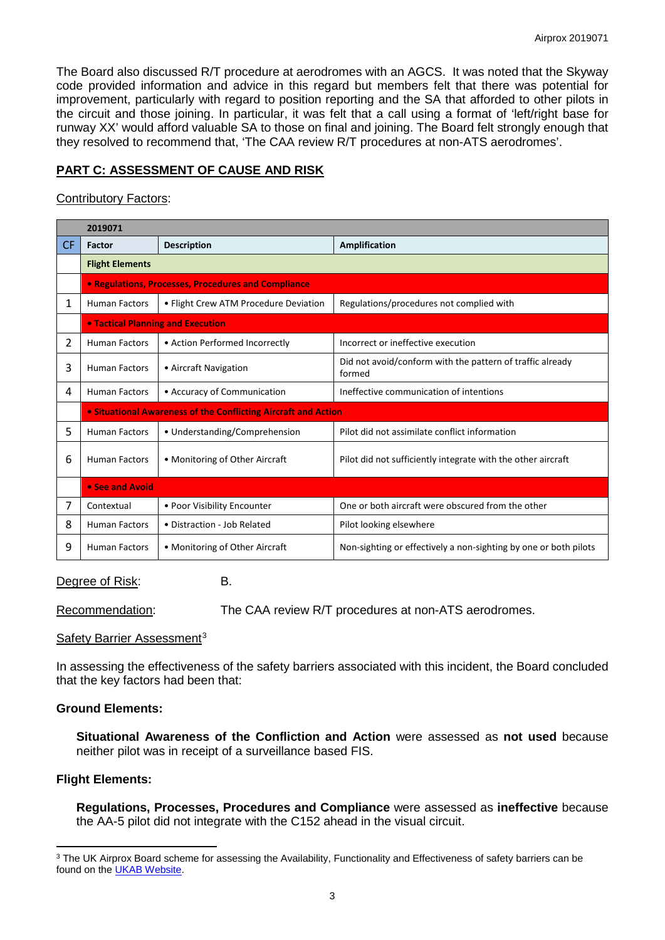The Board also discussed R/T procedure at aerodromes with an AGCS. It was noted that the Skyway code provided information and advice in this regard but members felt that there was potential for improvement, particularly with regard to position reporting and the SA that afforded to other pilots in the circuit and those joining. In particular, it was felt that a call using a format of 'left/right base for runway XX' would afford valuable SA to those on final and joining. The Board felt strongly enough that they resolved to recommend that, 'The CAA review R/T procedures at non-ATS aerodromes'.

# **PART C: ASSESSMENT OF CAUSE AND RISK**

### Contributory Factors:

| 2019071        |                                                                |                                       |                                                                     |
|----------------|----------------------------------------------------------------|---------------------------------------|---------------------------------------------------------------------|
| CF.            | Factor                                                         | <b>Description</b>                    | <b>Amplification</b>                                                |
|                | <b>Flight Elements</b>                                         |                                       |                                                                     |
|                | <b>• Regulations, Processes, Procedures and Compliance</b>     |                                       |                                                                     |
| $\mathbf{1}$   | <b>Human Factors</b>                                           | • Flight Crew ATM Procedure Deviation | Regulations/procedures not complied with                            |
|                | <b>• Tactical Planning and Execution</b>                       |                                       |                                                                     |
| $\overline{2}$ | <b>Human Factors</b>                                           | • Action Performed Incorrectly        | Incorrect or ineffective execution                                  |
| 3              | <b>Human Factors</b>                                           | • Aircraft Navigation                 | Did not avoid/conform with the pattern of traffic already<br>formed |
| 4              | <b>Human Factors</b>                                           | • Accuracy of Communication           | Ineffective communication of intentions                             |
|                | • Situational Awareness of the Conflicting Aircraft and Action |                                       |                                                                     |
| 5              | <b>Human Factors</b>                                           | • Understanding/Comprehension         | Pilot did not assimilate conflict information                       |
| 6              | <b>Human Factors</b>                                           | • Monitoring of Other Aircraft        | Pilot did not sufficiently integrate with the other aircraft        |
|                | • See and Avoid                                                |                                       |                                                                     |
| 7              | Contextual                                                     | • Poor Visibility Encounter           | One or both aircraft were obscured from the other                   |
| 8              | <b>Human Factors</b>                                           | • Distraction - Job Related           | Pilot looking elsewhere                                             |
| 9              | <b>Human Factors</b>                                           | • Monitoring of Other Aircraft        | Non-sighting or effectively a non-sighting by one or both pilots    |

## Degree of Risk: B.

Recommendation: The CAA review R/T procedures at non-ATS aerodromes.

### Safety Barrier Assessment<sup>[3](#page-2-0)</sup>

In assessing the effectiveness of the safety barriers associated with this incident, the Board concluded that the key factors had been that:

### **Ground Elements:**

**Situational Awareness of the Confliction and Action** were assessed as **not used** because neither pilot was in receipt of a surveillance based FIS.

### **Flight Elements:**

l

**Regulations, Processes, Procedures and Compliance** were assessed as **ineffective** because the AA-5 pilot did not integrate with the C152 ahead in the visual circuit.

<span id="page-2-0"></span><sup>&</sup>lt;sup>3</sup> The UK Airprox Board scheme for assessing the Availability, Functionality and Effectiveness of safety barriers can be found on the [UKAB Website.](http://www.airproxboard.org.uk/Learn-more/Airprox-Barrier-Assessment/)